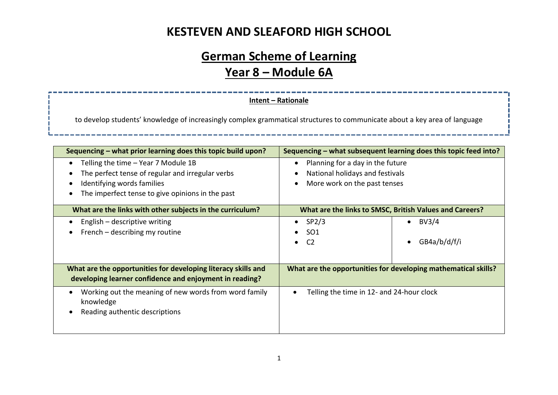# **German Scheme of Learning Year 8 – Module 6A**

#### **Intent – Rationale**

to develop students' knowledge of increasingly complex grammatical structures to communicate about a key area of language

| Sequencing – what prior learning does this topic build upon?                                                                                                                                                                   | Sequencing – what subsequent learning does this topic feed into?                                    |                                    |  |
|--------------------------------------------------------------------------------------------------------------------------------------------------------------------------------------------------------------------------------|-----------------------------------------------------------------------------------------------------|------------------------------------|--|
| Telling the time - Year 7 Module 1B<br>$\bullet$<br>The perfect tense of regular and irregular verbs<br>$\bullet$<br>Identifying words families<br>$\bullet$<br>The imperfect tense to give opinions in the past<br>$\epsilon$ | Planning for a day in the future<br>National holidays and festivals<br>More work on the past tenses |                                    |  |
| What are the links with other subjects in the curriculum?                                                                                                                                                                      | What are the links to SMSC, British Values and Careers?                                             |                                    |  |
| English – descriptive writing<br>French – describing my routine                                                                                                                                                                | SP <sub>2</sub> /3<br>SO <sub>1</sub><br>C <sub>2</sub>                                             | BV3/4<br>$\bullet$<br>GB4a/b/d/f/i |  |
| What are the opportunities for developing literacy skills and<br>developing learner confidence and enjoyment in reading?                                                                                                       | What are the opportunities for developing mathematical skills?                                      |                                    |  |
| Working out the meaning of new words from word family<br>$\bullet$<br>knowledge<br>Reading authentic descriptions<br>$\epsilon$                                                                                                | Telling the time in 12- and 24-hour clock                                                           |                                    |  |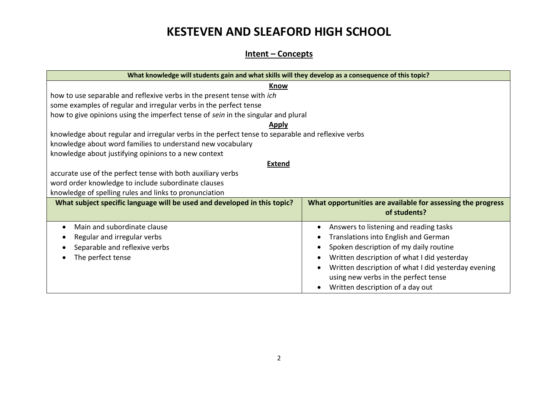#### **Intent – Concepts**

| What knowledge will students gain and what skills will they develop as a consequence of this topic? |                                                             |  |  |  |  |
|-----------------------------------------------------------------------------------------------------|-------------------------------------------------------------|--|--|--|--|
| <b>Know</b>                                                                                         |                                                             |  |  |  |  |
| how to use separable and reflexive verbs in the present tense with ich                              |                                                             |  |  |  |  |
| some examples of regular and irregular verbs in the perfect tense                                   |                                                             |  |  |  |  |
| how to give opinions using the imperfect tense of sein in the singular and plural                   |                                                             |  |  |  |  |
| <b>Apply</b>                                                                                        |                                                             |  |  |  |  |
| knowledge about regular and irregular verbs in the perfect tense to separable and reflexive verbs   |                                                             |  |  |  |  |
| knowledge about word families to understand new vocabulary                                          |                                                             |  |  |  |  |
| knowledge about justifying opinions to a new context                                                |                                                             |  |  |  |  |
| <b>Extend</b>                                                                                       |                                                             |  |  |  |  |
| accurate use of the perfect tense with both auxiliary verbs                                         |                                                             |  |  |  |  |
| word order knowledge to include subordinate clauses                                                 |                                                             |  |  |  |  |
| knowledge of spelling rules and links to pronunciation                                              |                                                             |  |  |  |  |
| What subject specific language will be used and developed in this topic?                            | What opportunities are available for assessing the progress |  |  |  |  |
|                                                                                                     | of students?                                                |  |  |  |  |
| Main and subordinate clause<br>$\bullet$                                                            | Answers to listening and reading tasks                      |  |  |  |  |
| Regular and irregular verbs<br>о                                                                    | Translations into English and German                        |  |  |  |  |
| Separable and reflexive verbs                                                                       | Spoken description of my daily routine                      |  |  |  |  |
| The perfect tense                                                                                   | Written description of what I did yesterday                 |  |  |  |  |
|                                                                                                     | Written description of what I did yesterday evening         |  |  |  |  |
|                                                                                                     | using new verbs in the perfect tense                        |  |  |  |  |
|                                                                                                     | Written description of a day out                            |  |  |  |  |